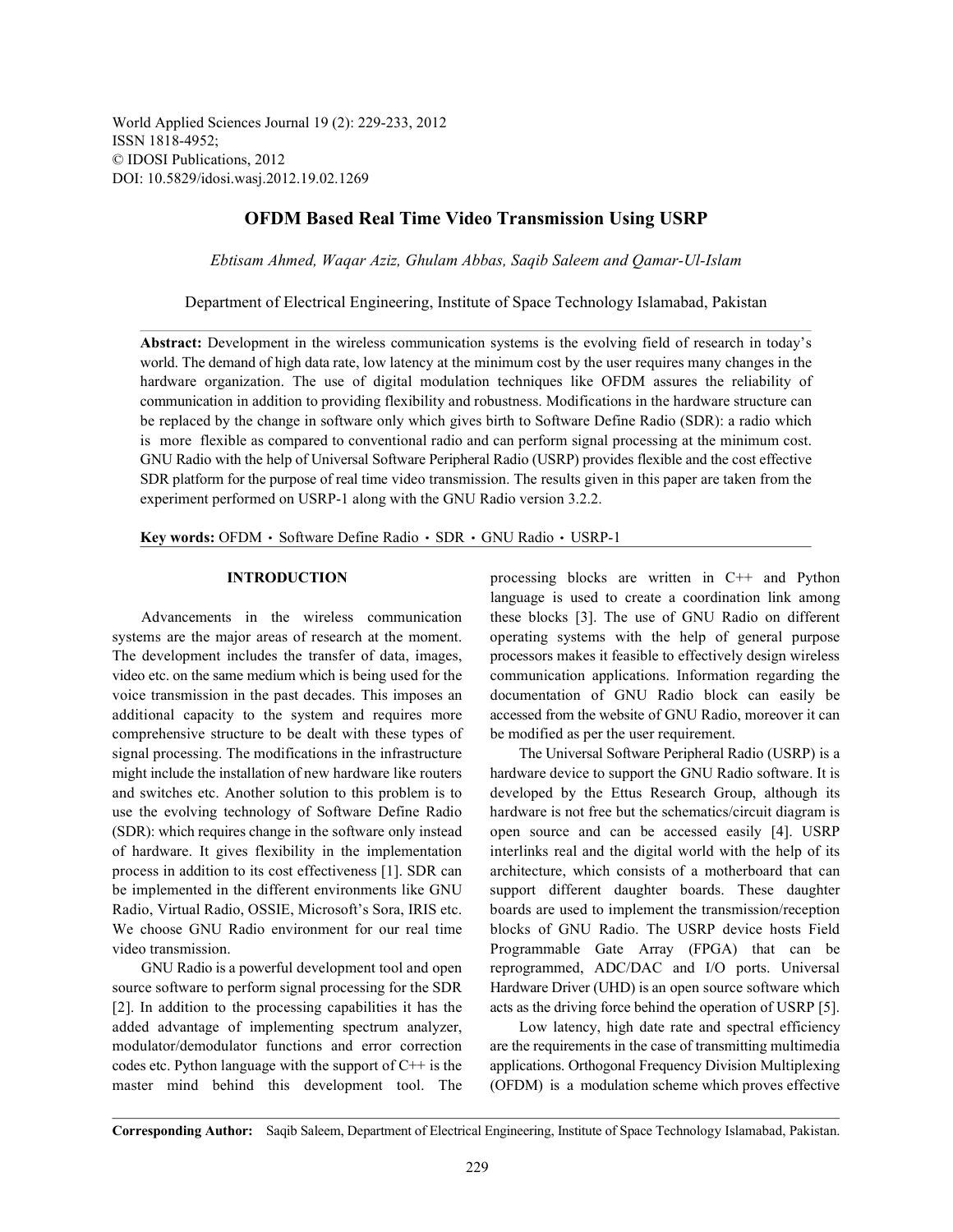World Applied Sciences Journal 19 (2): 229-233, 2012 ISSN 1818-4952; © IDOSI Publications, 2012 DOI: 10.5829/idosi.wasj.2012.19.02.1269

## **OFDM Based Real Time Video Transmission Using USRP**

*Ebtisam Ahmed, Waqar Aziz, Ghulam Abbas, Saqib Saleem and Qamar-Ul-Islam*

Department of Electrical Engineering, Institute of Space Technology Islamabad, Pakistan

**Abstract:** Development in the wireless communication systems is the evolving field of research in today's world. The demand of high data rate, low latency at the minimum cost by the user requires many changes in the hardware organization. The use of digital modulation techniques like OFDM assures the reliability of communication in addition to providing flexibility and robustness. Modifications in the hardware structure can be replaced by the change in software only which gives birth to Software Define Radio (SDR): a radio which is more flexible as compared to conventional radio and can perform signal processing at the minimum cost. GNU Radio with the help of Universal Software Peripheral Radio (USRP) provides flexible and the cost effective SDR platform for the purpose of real time video transmission. The results given in this paper are taken from the experiment performed on USRP-1 along with the GNU Radio version 3.2.2.

Key words: OFDM · Software Define Radio · SDR · GNU Radio · USRP-1

systems are the major areas of research at the moment. operating systems with the help of general purpose The development includes the transfer of data, images, processors makes it feasible to effectively design wireless video etc. on the same medium which is being used for the communication applications. Information regarding the voice transmission in the past decades. This imposes an documentation of GNU Radio block can easily be additional capacity to the system and requires more accessed from the website of GNU Radio, moreover it can comprehensive structure to be dealt with these types of be modified as per the user requirement. signal processing. The modifications in the infrastructure The Universal Software Peripheral Radio (USRP) is a might include the installation of new hardware like routers hardware device to support the GNU Radio software. It is and switches etc. Another solution to this problem is to developed by the Ettus Research Group, although its use the evolving technology of Software Define Radio hardware is not free but the schematics/circuit diagram is (SDR): which requires change in the software only instead open source and can be accessed easily [4]. USRP of hardware. It gives flexibility in the implementation interlinks real and the digital world with the help of its process in addition to its cost effectiveness [1]. SDR can architecture, which consists of a motherboard that can be implemented in the different environments like GNU support different daughter boards. These daughter Radio, Virtual Radio, OSSIE, Microsoft's Sora, IRIS etc. boards are used to implement the transmission/reception We choose GNU Radio environment for our real time blocks of GNU Radio. The USRP device hosts Field video transmission. Programmable Gate Array (FPGA) that can be

added advantage of implementing spectrum analyzer, Low latency, high date rate and spectral efficiency modulator/demodulator functions and error correction are the requirements in the case of transmitting multimedia codes etc. Python language with the support of C++ is the applications. Orthogonal Frequency Division Multiplexing master mind behind this development tool. The (OFDM) is a modulation scheme which proves effective

**INTRODUCTION** processing blocks are written in C++ and Python Advancements in the wireless communication these blocks [3]. The use of GNU Radio on different language is used to create a coordination link among

GNU Radio is a powerful development tool and open reprogrammed, ADC/DAC and I/O ports. Universal source software to perform signal processing for the SDR Hardware Driver (UHD) is an open source software which [2]. In addition to the processing capabilities it has the acts as the driving force behind the operation of USRP [5].

**Corresponding Author:** Saqib Saleem, Department of Electrical Engineering, Institute of Space Technology Islamabad, Pakistan.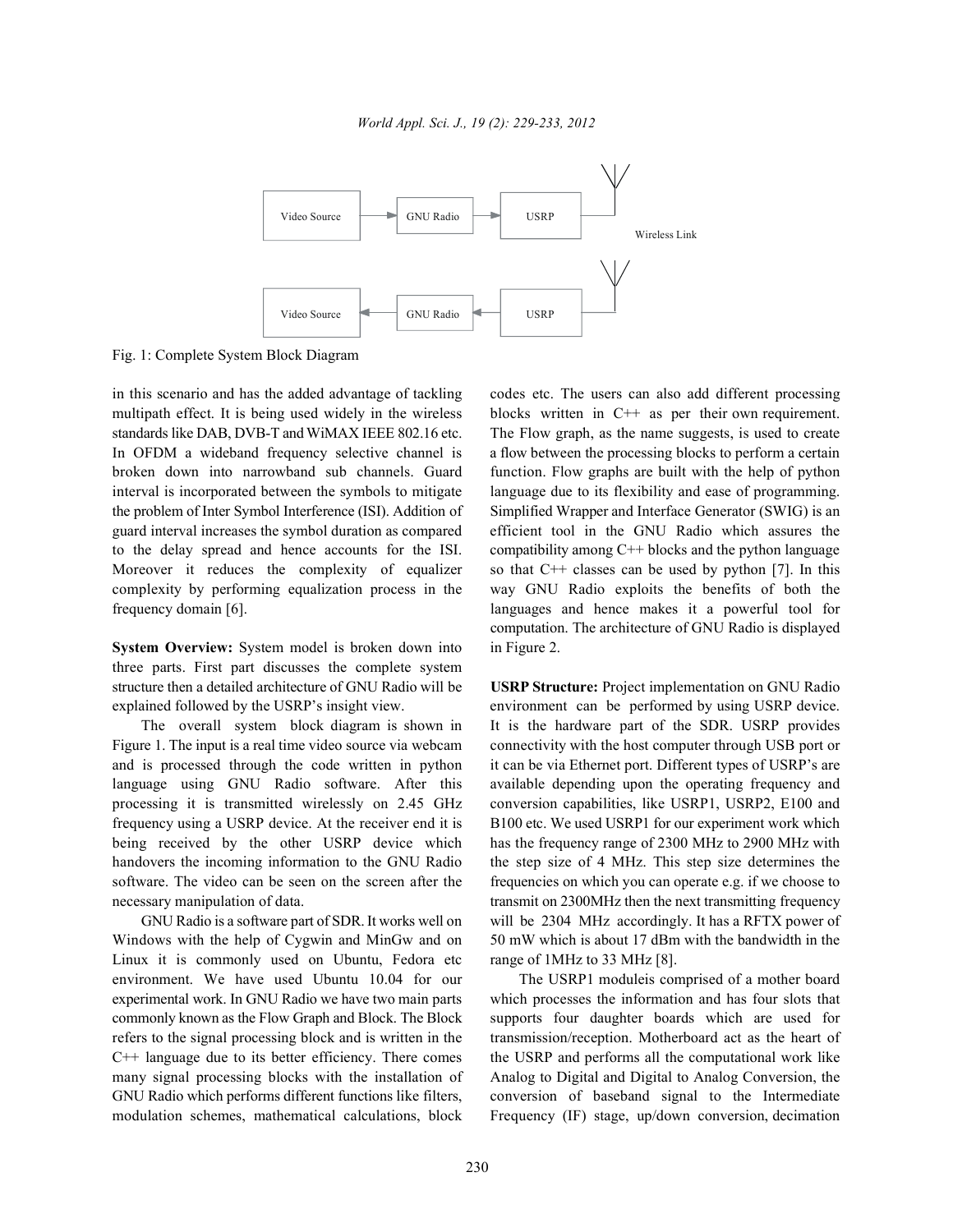

Fig. 1: Complete System Block Diagram

multipath effect. It is being used widely in the wireless blocks written in C++ as per their own requirement. standards like DAB, DVB-T and WiMAX IEEE 802.16 etc. The Flow graph, as the name suggests, is used to create In OFDM a wideband frequency selective channel is a flow between the processing blocks to perform a certain broken down into narrowband sub channels. Guard function. Flow graphs are built with the help of python interval is incorporated between the symbols to mitigate language due to its flexibility and ease of programming. the problem of Inter Symbol Interference (ISI). Addition of Simplified Wrapper and Interface Generator (SWIG) is an guard interval increases the symbol duration as compared efficient tool in the GNU Radio which assures the to the delay spread and hence accounts for the ISI. compatibility among C++ blocks and the python language Moreover it reduces the complexity of equalizer so that C++ classes can be used by python [7]. In this complexity by performing equalization process in the way GNU Radio exploits the benefits of both the frequency domain [6]. languages and hence makes it a powerful tool for

**System Overview:** System model is broken down into in Figure 2. three parts. First part discusses the complete system structure then a detailed architecture of GNU Radio will be **USRP Structure:** Project implementation on GNU Radio explained followed by the USRP's insight view. environment can be performed by using USRP device.

Figure 1. The input is a real time video source via webcam connectivity with the host computer through USB port or and is processed through the code written in python it can be via Ethernet port. Different types of USRP's are language using GNU Radio software. After this available depending upon the operating frequency and processing it is transmitted wirelessly on 2.45 GHz conversion capabilities, like USRP1, USRP2, E100 and frequency using a USRP device. At the receiver end it is B100 etc. We used USRP1 for our experiment work which being received by the other USRP device which has the frequency range of 2300 MHz to 2900 MHz with handovers the incoming information to the GNU Radio the step size of 4 MHz. This step size determines the software. The video can be seen on the screen after the frequencies on which you can operate e.g. if we choose to necessary manipulation of data. transmit on 2300MHz then the next transmitting frequency

Windows with the help of Cygwin and MinGw and on 50 mW which is about 17 dBm with the bandwidth in the Linux it is commonly used on Ubuntu, Fedora etc range of 1MHz to 33 MHz [8]. environment. We have used Ubuntu 10.04 for our The USRP1 moduleis comprised of a mother board experimental work. In GNU Radio we have two main parts which processes the information and has four slots that commonly known as the Flow Graph and Block. The Block supports four daughter boards which are used for refers to the signal processing block and is written in the transmission/reception. Motherboard act as the heart of  $C++$  language due to its better efficiency. There comes the USRP and performs all the computational work like many signal processing blocks with the installation of Analog to Digital and Digital to Analog Conversion, the GNU Radio which performs different functions like filters, conversion of baseband signal to the Intermediate modulation schemes, mathematical calculations, block Frequency (IF) stage, up/down conversion, decimation

in this scenario and has the added advantage of tackling codes etc. The users can also add different processing computation. The architecture of GNU Radio is displayed

The overall system block diagram is shown in It is the hardware part of the SDR. USRP provides GNU Radio is a software part of SDR. It works well on will be 2304 MHz accordingly. It has a RFTX power of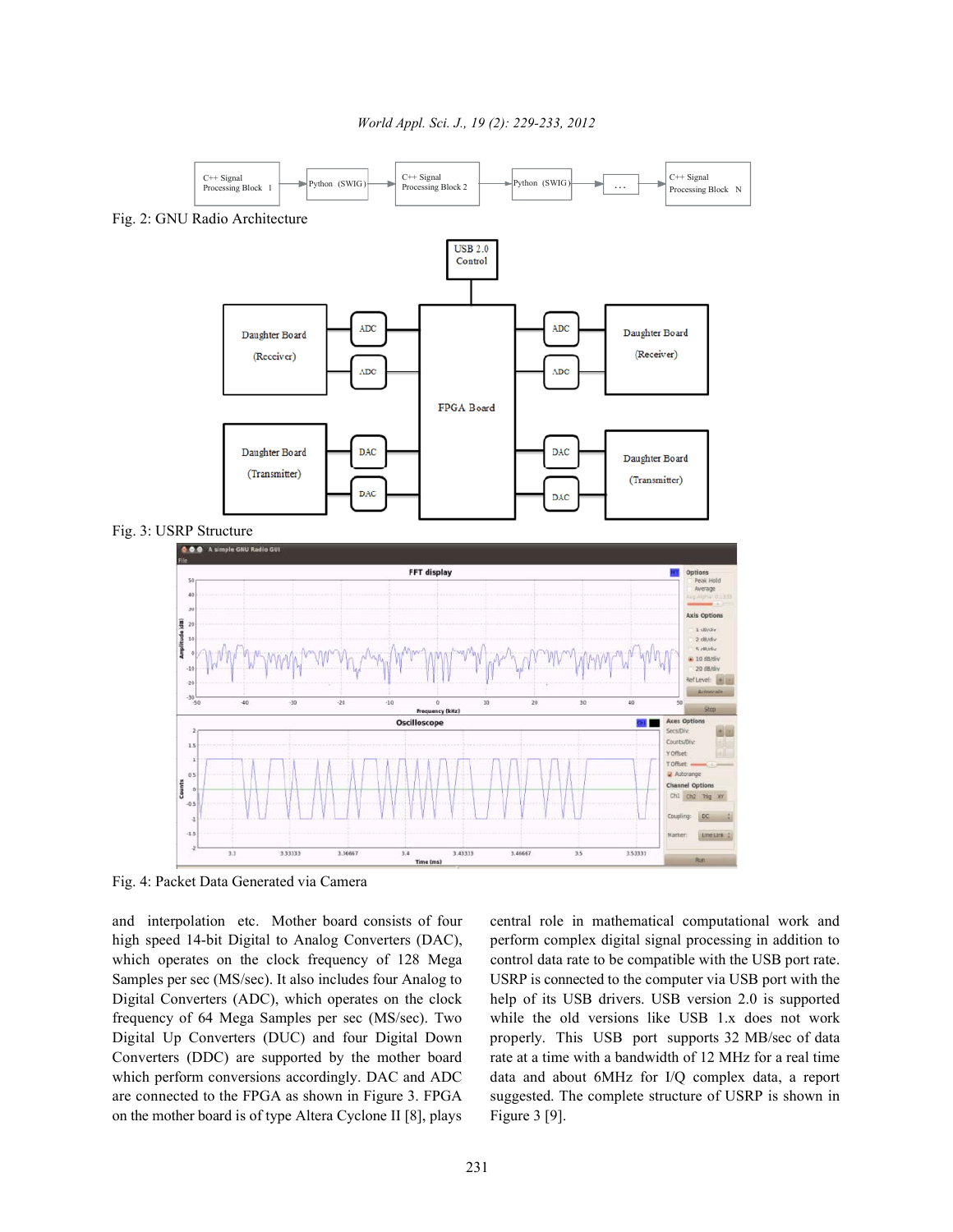*World Appl. Sci. J., 19 (2): 229-233, 2012*



Fig. 4: Packet Data Generated via Camera

high speed 14-bit Digital to Analog Converters (DAC), perform complex digital signal processing in addition to which operates on the clock frequency of 128 Mega control data rate to be compatible with the USB port rate. Samples per sec (MS/sec). It also includes four Analog to USRP is connected to the computer via USB port with the Digital Converters (ADC), which operates on the clock help of its USB drivers. USB version 2.0 is supported frequency of 64 Mega Samples per sec (MS/sec). Two while the old versions like USB 1.x does not work Digital Up Converters (DUC) and four Digital Down properly. This USB port supports 32 MB/sec of data Converters (DDC) are supported by the mother board rate at a time with a bandwidth of 12 MHz for a real time which perform conversions accordingly. DAC and ADC data and about 6MHz for I/Q complex data, a report are connected to the FPGA as shown in Figure 3. FPGA suggested. The complete structure of USRP is shown in on the mother board is of type Altera Cyclone II [8], plays Figure 3 [9].

and interpolation etc. Mother board consists of four central role in mathematical computational work and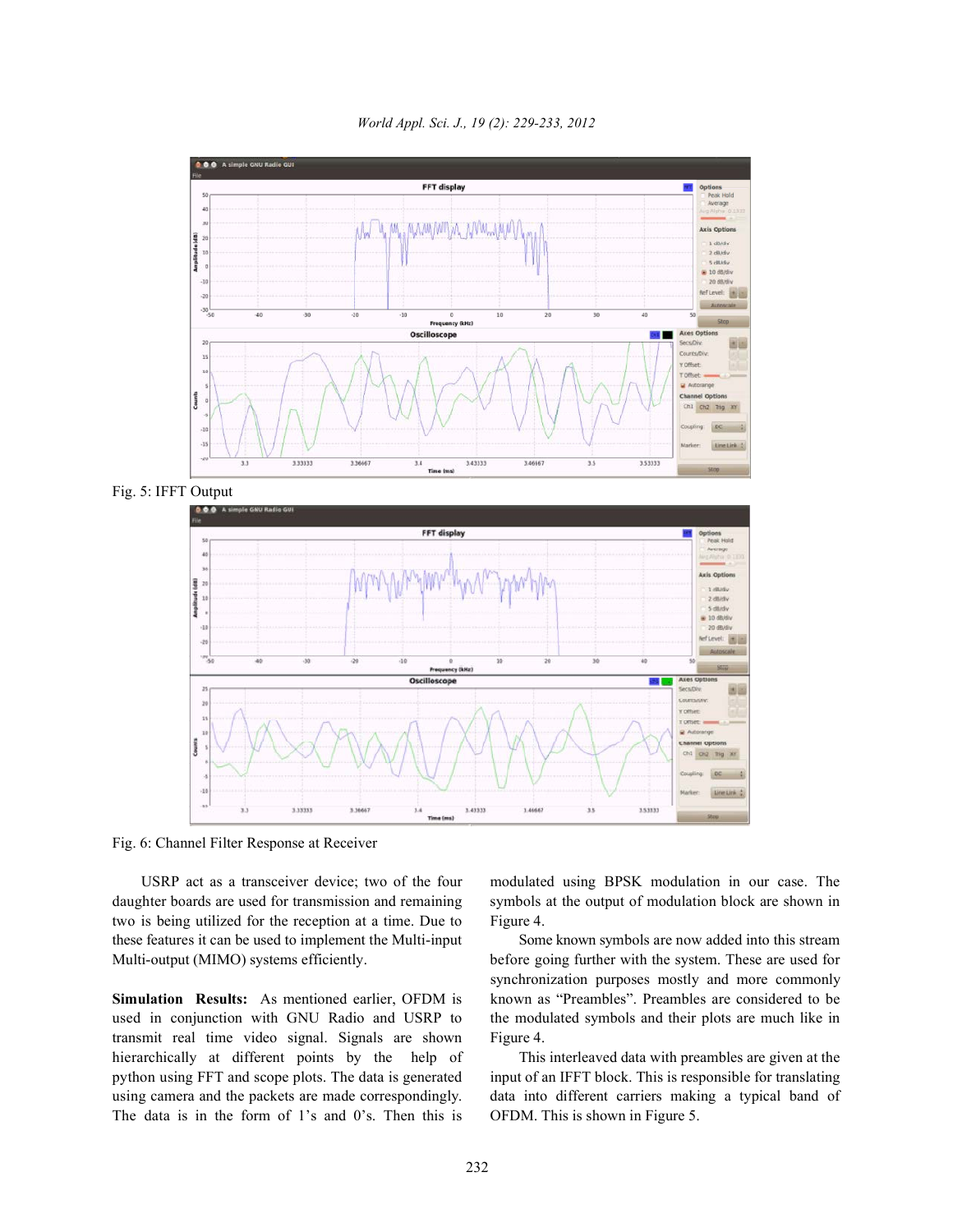

*World Appl. Sci. J., 19 (2): 229-233, 2012*

Fig. 5: IFFT Output



Fig. 6: Channel Filter Response at Receiver

daughter boards are used for transmission and remaining symbols at the output of modulation block are shown in two is being utilized for the reception at a time. Due to Figure 4. these features it can be used to implement the Multi-input Some known symbols are now added into this stream Multi-output (MIMO) systems efficiently. before going further with the system. These are used for

used in conjunction with GNU Radio and USRP to the modulated symbols and their plots are much like in transmit real time video signal. Signals are shown Figure 4. hierarchically at different points by the help of This interleaved data with preambles are given at the python using FFT and scope plots. The data is generated input of an IFFT block. This is responsible for translating using camera and the packets are made correspondingly. data into different carriers making a typical band of The data is in the form of 1's and 0's. Then this is OFDM. This is shown in Figure 5.

USRP act as a transceiver device; two of the four modulated using BPSK modulation in our case. The

**Simulation Results:** As mentioned earlier, OFDM is known as "Preambles". Preambles are considered to be synchronization purposes mostly and more commonly